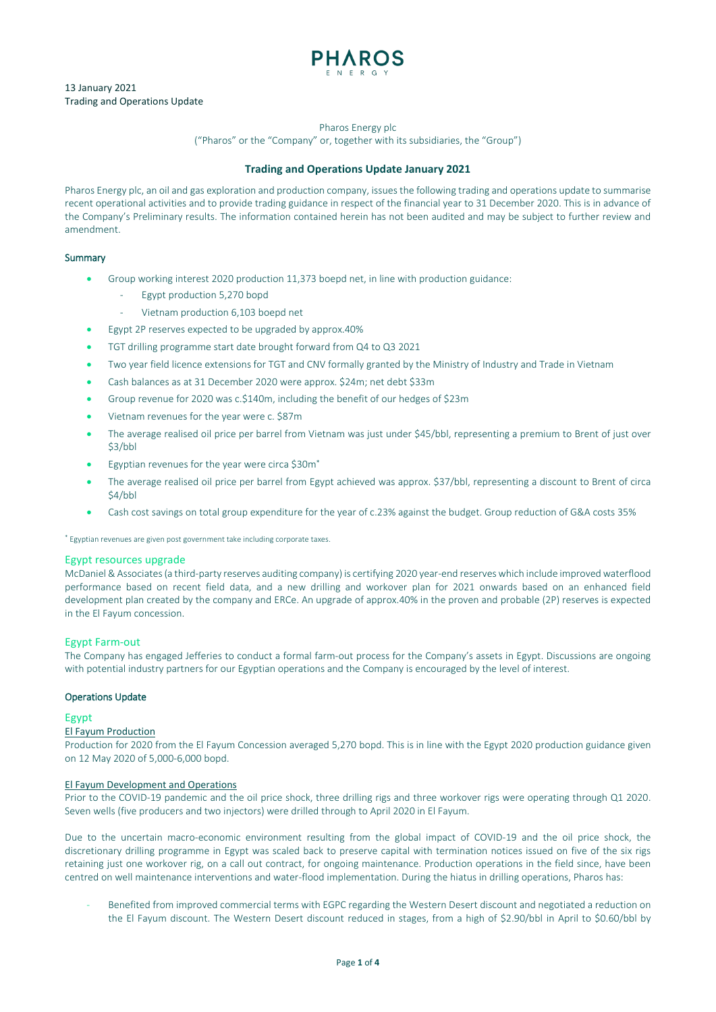

Pharos Energy plc

("Pharos" or the "Company" or, together with its subsidiaries, the "Group")

## **Trading and Operations Update January 2021**

Pharos Energy plc, an oil and gas exploration and production company, issues the following trading and operations update to summarise recent operational activities and to provide trading guidance in respect of the financial year to 31 December 2020. This is in advance of the Company's Preliminary results. The information contained herein has not been audited and may be subject to further review and amendment.

# Summary

- Group working interest 2020 production 11,373 boepd net, in line with production guidance:
	- Egypt production 5,270 bopd
	- Vietnam production 6,103 boepd net
- Egypt 2P reserves expected to be upgraded by approx.40%
- TGT drilling programme start date brought forward from Q4 to Q3 2021
- Two year field licence extensions for TGT and CNV formally granted by the Ministry of Industry and Trade in Vietnam
- Cash balances as at 31 December 2020 were approx. \$24m; net debt \$33m
- Group revenue for 2020 was c.\$140m, including the benefit of our hedges of \$23m
- Vietnam revenues for the year were c. \$87m
- The average realised oil price per barrel from Vietnam was just under \$45/bbl, representing a premium to Brent of just over \$3/bbl
- Egyptian revenues for the year were circa \$30m\*
- The average realised oil price per barrel from Egypt achieved was approx. \$37/bbl, representing a discount to Brent of circa \$4/bbl
- Cash cost savings on total group expenditure for the year of c.23% against the budget. Group reduction of G&A costs 35%

\* Egyptian revenues are given post government take including corporate taxes.

## Egypt resources upgrade

McDaniel & Associates (a third-party reserves auditing company) is certifying 2020 year-end reserves which include improved waterflood performance based on recent field data, and a new drilling and workover plan for 2021 onwards based on an enhanced field development plan created by the company and ERCe. An upgrade of approx.40% in the proven and probable (2P) reserves is expected in the El Fayum concession.

# Egypt Farm-out

The Company has engaged Jefferies to conduct a formal farm-out process for the Company's assets in Egypt. Discussions are ongoing with potential industry partners for our Egyptian operations and the Company is encouraged by the level of interest.

## Operations Update

## Egypt

## El Fayum Production

Production for 2020 from the El Fayum Concession averaged 5,270 bopd. This is in line with the Egypt 2020 production guidance given on 12 May 2020 of 5,000-6,000 bopd.

## El Fayum Development and Operations

Prior to the COVID-19 pandemic and the oil price shock, three drilling rigs and three workover rigs were operating through Q1 2020. Seven wells (five producers and two injectors) were drilled through to April 2020 in El Fayum.

Due to the uncertain macro-economic environment resulting from the global impact of COVID-19 and the oil price shock, the discretionary drilling programme in Egypt was scaled back to preserve capital with termination notices issued on five of the six rigs retaining just one workover rig, on a call out contract, for ongoing maintenance. Production operations in the field since, have been centred on well maintenance interventions and water-flood implementation. During the hiatus in drilling operations, Pharos has:

- Benefited from improved commercial terms with EGPC regarding the Western Desert discount and negotiated a reduction on the El Fayum discount. The Western Desert discount reduced in stages, from a high of \$2.90/bbl in April to \$0.60/bbl by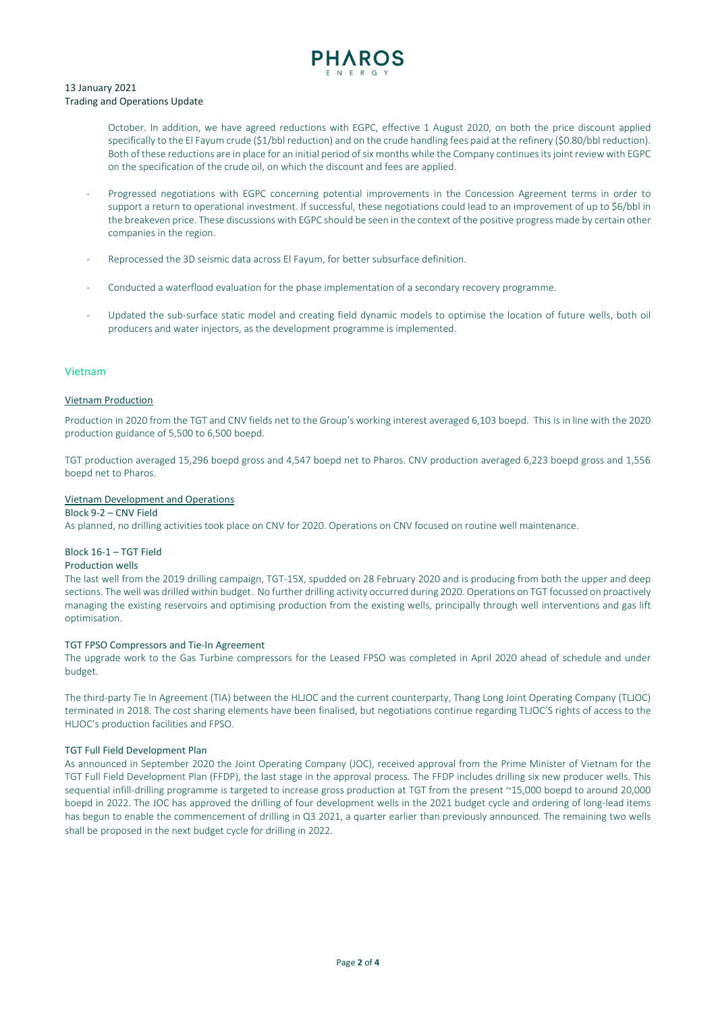

October. In addition, we have agreed reductions with EGPC, effective 1 August 2020, on both the price discount applied specifically to the El Fayum crude (\$1/bbl reduction) and on the crude handling fees paid at the refinery (\$0.80/bbl reduction). Both of these reductions are in place for an initial period of six months while the Company continuesits joint review with EGPC on the specification of the crude oil, on which the discount and fees are applied.

- Progressed negotiations with EGPC concerning potential improvements in the Concession Agreement terms in order to support a return to operational investment. If successful, these negotiations could lead to an improvement of up to \$6/bbl in the breakeven price. These discussions with EGPC should be seen in the context of the positive progress made by certain other companies in the region.
- Reprocessed the 3D seismic data across El Fayum, for better subsurface definition.
- Conducted a waterflood evaluation for the phase implementation of a secondary recovery programme.
- Updated the sub-surface static model and creating field dynamic models to optimise the location of future wells, both oil producers and water injectors, as the development programme is implemented.

## Vietnam

## Vietnam Production

Production in 2020 from the TGT and CNV fields net to the Group's working interest averaged 6,103 boepd. This is in line with the 2020 production guidance of 5,500 to 6,500 boepd.

TGT production averaged 15,296 boepd gross and 4,547 boepd net to Pharos. CNV production averaged 6,223 boepd gross and 1,556 boepd net to Pharos.

## Vietnam Development and Operations

## Block 9-2 – CNV Field

As planned, no drilling activities took place on CNV for 2020. Operations on CNV focused on routine well maintenance.

## Block 16-1 – TGT Field

## Production wells

The last well from the 2019 drilling campaign, TGT-15X, spudded on 28 February 2020 and is producing from both the upper and deep sections. The well was drilledwithin budget. No further drilling activity occurred during 2020. Operations on TGT focussed on proactively managing the existing reservoirs and optimising production from the existing wells, principally through well interventions and gas lift optimisation.

## TGT FPSO Compressors and Tie-In Agreement

The upgrade work to the Gas Turbine compressors for the Leased FPSO was completed in April 2020 ahead of schedule and under budget.

The third-party Tie In Agreement (TIA) between the HLJOC and the current counterparty, Thang Long Joint Operating Company (TLJOC) terminated in 2018. The cost sharing elements have been finalised, but negotiations continue regarding TLJOC'S rights of access to the HLJOC's production facilities and FPSO.

## TGT Full Field Development Plan

As announced in September 2020 the Joint Operating Company (JOC), received approval from the Prime Minister of Vietnam for the TGT Full Field Development Plan (FFDP), the last stage in the approval process. The FFDP includes drilling six new producer wells. This sequential infill-drilling programme is targeted to increase gross production at TGT from the present ~15,000 boepd to around 20,000 boepd in 2022. The JOC has approved the drilling of four development wells in the 2021 budget cycle and ordering of long-lead items has begun to enable the commencement of drilling in Q3 2021, a quarter earlier than previously announced. The remaining two wells shall be proposed in the next budget cycle for drilling in 2022.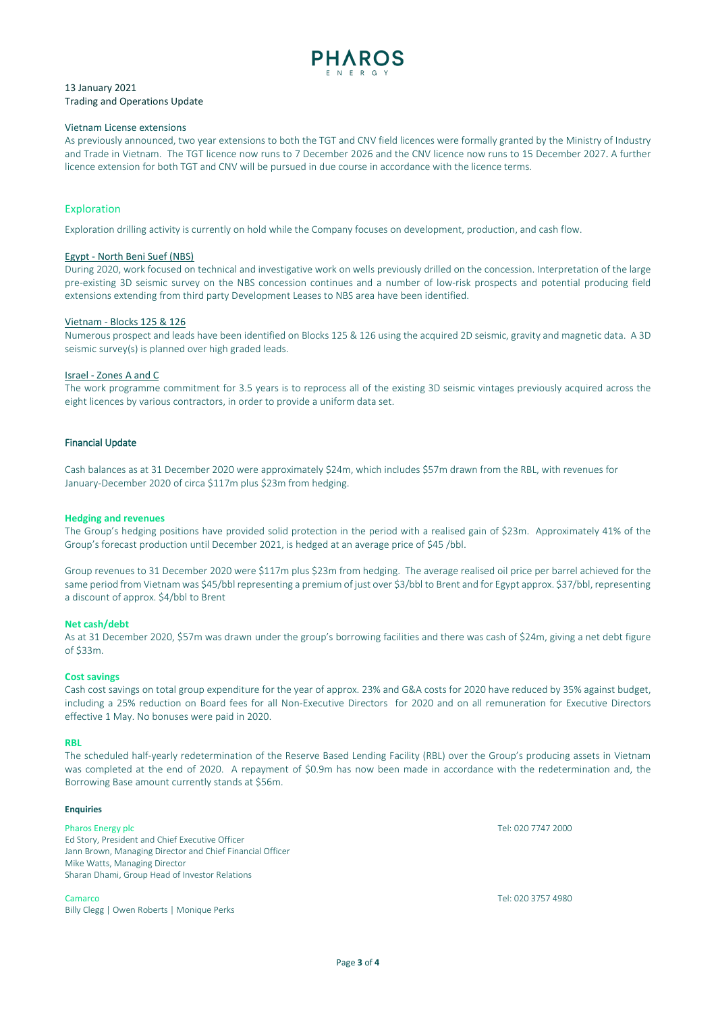

## Vietnam License extensions

As previously announced, two year extensions to both the TGT and CNV field licences were formally granted by the Ministry of Industry and Trade in Vietnam. The TGT licence now runs to 7 December 2026 and the CNV licence now runs to 15 December 2027. A further licence extension for both TGT and CNV will be pursued in due course in accordance with the licence terms.

## Exploration

Exploration drilling activity is currently on hold while the Company focuses on development, production, and cash flow.

## Egypt - North Beni Suef (NBS)

During 2020, work focused on technical and investigative work on wells previously drilled on the concession. Interpretation of the large pre-existing 3D seismic survey on the NBS concession continues and a number of low-risk prospects and potential producing field extensions extending from third party Development Leases to NBS area have been identified.

#### Vietnam - Blocks 125 & 126

Numerous prospect and leads have been identified on Blocks 125 & 126 using the acquired 2D seismic, gravity and magnetic data. A 3D seismic survey(s) is planned over high graded leads.

#### Israel - Zones A and C

The work programme commitment for 3.5 years is to reprocess all of the existing 3D seismic vintages previously acquired across the eight licences by various contractors, in order to provide a uniform data set.

## Financial Update

Cash balances as at 31 December 2020 were approximately \$24m, which includes \$57m drawn from the RBL, with revenues for January-December 2020 of circa \$117m plus \$23m from hedging.

#### **Hedging and revenues**

The Group's hedging positions have provided solid protection in the period with a realised gain of \$23m. Approximately 41% of the Group's forecast production until December 2021, is hedged at an average price of \$45 /bbl.

Group revenues to 31 December 2020 were \$117m plus \$23m from hedging. The average realised oil price per barrel achieved for the same period from Vietnam was \$45/bbl representing a premium of just over \$3/bbl to Brent and for Egypt approx. \$37/bbl, representing a discount of approx. \$4/bbl to Brent

## **Net cash/debt**

As at 31 December 2020, \$57m was drawn under the group's borrowing facilities and there was cash of \$24m, giving a net debt figure of \$33m.

#### **Cost savings**

Cash cost savings on total group expenditure for the year of approx. 23% and G&A costs for 2020 have reduced by 35% against budget, including a 25% reduction on Board fees for all Non-Executive Directors for 2020 and on all remuneration for Executive Directors effective 1 May. No bonuses were paid in 2020.

## **RBL**

The scheduled half-yearly redetermination of the Reserve Based Lending Facility (RBL) over the Group's producing assets in Vietnam was completed at the end of 2020. A repayment of \$0.9m has now been made in accordance with the redetermination and, the Borrowing Base amount currently stands at \$56m.

## **Enquiries**

Ed Story, President and Chief Executive Officer Jann Brown, Managing Director and Chief Financial Officer Mike Watts, Managing Director Sharan Dhami, Group Head of Investor Relations

Camarco Tel: 020 3757 4980 Billy Clegg | Owen Roberts | Monique Perks

Pharos Energy plc **Tel:** 020 7747 2000